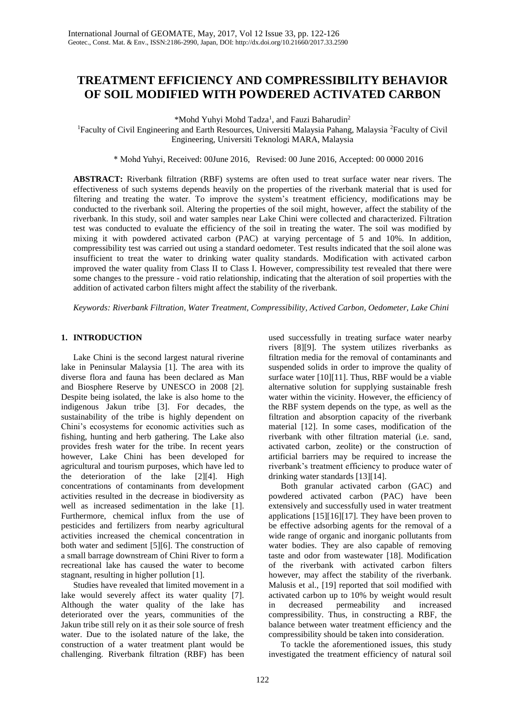# **TREATMENT EFFICIENCY AND COMPRESSIBILITY BEHAVIOR OF SOIL MODIFIED WITH POWDERED ACTIVATED CARBON**

\*Mohd Yuhyi Mohd Tadza<sup>1</sup>, and Fauzi Baharudin<sup>2</sup>

<sup>1</sup>Faculty of Civil Engineering and Earth Resources, Universiti Malaysia Pahang, Malaysia <sup>2</sup>Faculty of Civil Engineering, Universiti Teknologi MARA, Malaysia

\* Mohd Yuhyi, Received: 00June 2016, Revised: 00 June 2016, Accepted: 00 0000 2016

**ABSTRACT:** Riverbank filtration (RBF) systems are often used to treat surface water near rivers. The effectiveness of such systems depends heavily on the properties of the riverbank material that is used for filtering and treating the water. To improve the system's treatment efficiency, modifications may be conducted to the riverbank soil. Altering the properties of the soil might, however, affect the stability of the riverbank. In this study, soil and water samples near Lake Chini were collected and characterized. Filtration test was conducted to evaluate the efficiency of the soil in treating the water. The soil was modified by mixing it with powdered activated carbon (PAC) at varying percentage of 5 and 10%. In addition, compressibility test was carried out using a standard oedometer. Test results indicated that the soil alone was insufficient to treat the water to drinking water quality standards. Modification with activated carbon improved the water quality from Class II to Class I. However, compressibility test revealed that there were some changes to the pressure - void ratio relationship, indicating that the alteration of soil properties with the addition of activated carbon filters might affect the stability of the riverbank.

*Keywords: Riverbank Filtration, Water Treatment, Compressibility, Actived Carbon, Oedometer, Lake Chini* 

# **1. INTRODUCTION**

Lake Chini is the second largest natural riverine lake in Peninsular Malaysia [1]. The area with its diverse flora and fauna has been declared as Man and Biosphere Reserve by UNESCO in 2008 [2]. Despite being isolated, the lake is also home to the indigenous Jakun tribe [3]. For decades, the sustainability of the tribe is highly dependent on Chini's ecosystems for economic activities such as fishing, hunting and herb gathering. The Lake also provides fresh water for the tribe. In recent years however, Lake Chini has been developed for agricultural and tourism purposes, which have led to the deterioration of the lake [2][4]. High concentrations of contaminants from development activities resulted in the decrease in biodiversity as well as increased sedimentation in the lake [1]. Furthermore, chemical influx from the use of pesticides and fertilizers from nearby agricultural activities increased the chemical concentration in both water and sediment [5][6]. The construction of a small barrage downstream of Chini River to form a recreational lake has caused the water to become stagnant, resulting in higher pollution [1].

Studies have revealed that limited movement in a lake would severely affect its water quality [7]. Although the water quality of the lake has deteriorated over the years, communities of the Jakun tribe still rely on it as their sole source of fresh water. Due to the isolated nature of the lake, the construction of a water treatment plant would be challenging. Riverbank filtration (RBF) has been used successfully in treating surface water nearby rivers [8][9]. The system utilizes riverbanks as filtration media for the removal of contaminants and suspended solids in order to improve the quality of surface water [10][11]. Thus, RBF would be a viable alternative solution for supplying sustainable fresh water within the vicinity. However, the efficiency of the RBF system depends on the type, as well as the filtration and absorption capacity of the riverbank material [12]. In some cases, modification of the riverbank with other filtration material (i.e. sand, activated carbon, zeolite) or the construction of artificial barriers may be required to increase the riverbank's treatment efficiency to produce water of drinking water standards [13][14].

Both granular activated carbon (GAC) and powdered activated carbon (PAC) have been extensively and successfully used in water treatment applications [15][16][17]. They have been proven to be effective adsorbing agents for the removal of a wide range of organic and inorganic pollutants from water bodies. They are also capable of removing taste and odor from wastewater [18]. Modification of the riverbank with activated carbon filters however, may affect the stability of the riverbank. Malusis et al., [19] reported that soil modified with activated carbon up to 10% by weight would result in decreased permeability and increased compressibility. Thus, in constructing a RBF, the balance between water treatment efficiency and the compressibility should be taken into consideration.

To tackle the aforementioned issues, this study investigated the treatment efficiency of natural soil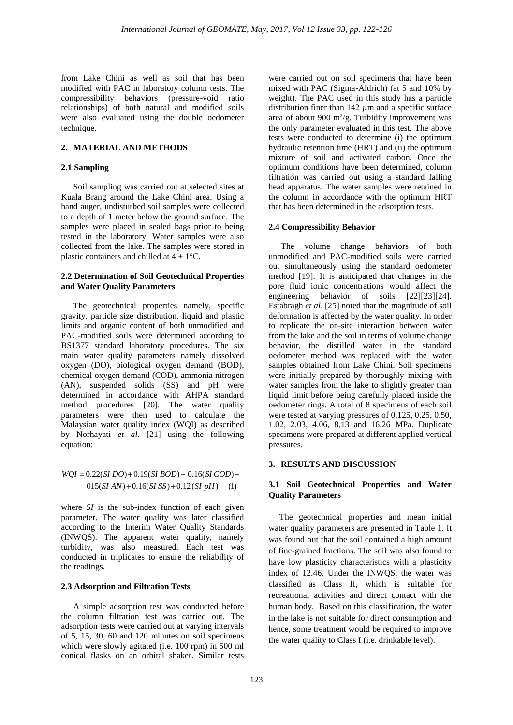from Lake Chini as well as soil that has been modified with PAC in laboratory column tests. The compressibility behaviors (pressure-void ratio relationships) of both natural and modified soils were also evaluated using the double oedometer technique.

## **2. MATERIAL AND METHODS**

## **2.1 Sampling**

Soil sampling was carried out at selected sites at Kuala Brang around the Lake Chini area. Using a hand auger, undisturbed soil samples were collected to a depth of 1 meter below the ground surface. The samples were placed in sealed bags prior to being tested in the laboratory. Water samples were also collected from the lake. The samples were stored in plastic containers and chilled at  $4 \pm 1$ °C.

## **2.2 Determination of Soil Geotechnical Properties and Water Quality Parameters**

The geotechnical properties namely, specific gravity, particle size distribution, liquid and plastic limits and organic content of both unmodified and PAC-modified soils were determined according to BS1377 standard laboratory procedures. The six main water quality parameters namely dissolved oxygen (DO), biological oxygen demand (BOD), chemical oxygen demand (COD), ammonia nitrogen (AN), suspended solids (SS) and pH were determined in accordance with AHPA standard method procedures [20]. The water quality parameters were then used to calculate the Malaysian water quality index (WQI) as described by Norhayati *et al*. [21] using the following equation:

$$
WQI = 0.22(SI\,DO) + 0.19(SI\,BOD) + 0.16(SI\,COD) + 0.15(SI\,AN) + 0.16(SI\,SS) + 0.12(SI\,pH) \tag{1}
$$

where *SI* is the sub-index function of each given parameter. The water quality was later classified according to the Interim Water Quality Standards (INWQS). The apparent water quality, namely turbidity, was also measured. Each test was conducted in triplicates to ensure the reliability of the readings.

#### **2.3 Adsorption and Filtration Tests**

A simple adsorption test was conducted before the column filtration test was carried out. The adsorption tests were carried out at varying intervals of 5, 15, 30, 60 and 120 minutes on soil specimens which were slowly agitated (i.e. 100 rpm) in 500 ml conical flasks on an orbital shaker. Similar tests were carried out on soil specimens that have been mixed with PAC (Sigma-Aldrich) (at 5 and 10% by weight). The PAC used in this study has a particle distribution finer than  $142 \mu m$  and a specific surface area of about 900 m<sup>2</sup>/g. Turbidity improvement was the only parameter evaluated in this test. The above tests were conducted to determine (i) the optimum hydraulic retention time (HRT) and (ii) the optimum mixture of soil and activated carbon. Once the optimum conditions have been determined, column filtration was carried out using a standard falling head apparatus. The water samples were retained in the column in accordance with the optimum HRT that has been determined in the adsorption tests.

#### **2.4 Compressibility Behavior**

The volume change behaviors of both unmodified and PAC-modified soils were carried out simultaneously using the standard oedometer method [19]. It is anticipated that changes in the pore fluid ionic concentrations would affect the engineering behavior of soils [22][23][24]. Estabragh *et al*. [25] noted that the magnitude of soil deformation is affected by the water quality. In order to replicate the on-site interaction between water from the lake and the soil in terms of volume change behavior, the distilled water in the standard oedometer method was replaced with the water samples obtained from Lake Chini. Soil specimens were initially prepared by thoroughly mixing with water samples from the lake to slightly greater than liquid limit before being carefully placed inside the oedometer rings. A total of 8 specimens of each soil were tested at varying pressures of 0.125, 0.25, 0.50, 1.02, 2.03, 4.06, 8.13 and 16.26 MPa. Duplicate specimens were prepared at different applied vertical pressures.

## **3. RESULTS AND DISCUSSION**

# **3.1 Soil Geotechnical Properties and Water Quality Parameters**

 The geotechnical properties and mean initial water quality parameters are presented in Table 1. It was found out that the soil contained a high amount of fine-grained fractions. The soil was also found to have low plasticity characteristics with a plasticity index of 12.46. Under the INWQS, the water was classified as Class II, which is suitable for recreational activities and direct contact with the human body. Based on this classification, the water in the lake is not suitable for direct consumption and hence, some treatment would be required to improve the water quality to Class I (i.e. drinkable level).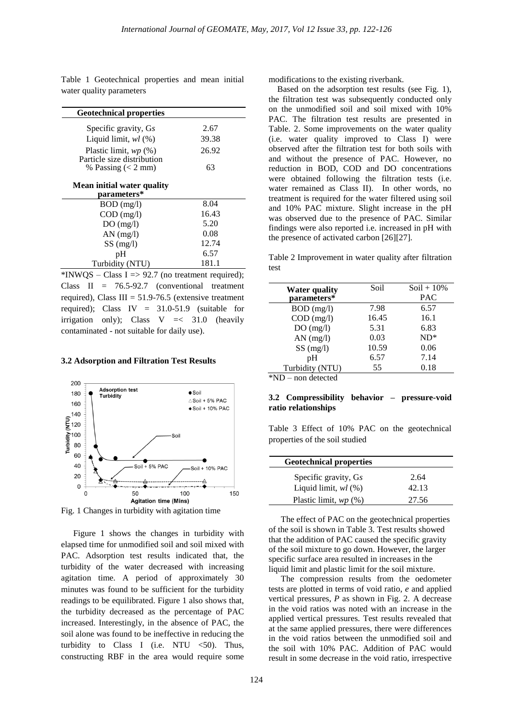Table 1 Geotechnical properties and mean initial water quality parameters

| <b>Geotechnical properties</b>                        |       |
|-------------------------------------------------------|-------|
| Specific gravity, Gs                                  | 2.67  |
| Liquid limit, $wl$ $(%$                               | 39.38 |
| Plastic limit, $wp(\%)$<br>Particle size distribution | 26.92 |
| % Passing $(< 2$ mm)                                  | 63    |
| Mean initial water quality<br>parameters*             |       |
| $BOD$ (mg/l)                                          | 8.04  |
| $COD$ (mg/l)                                          | 16.43 |
| DO(mg/l)                                              | 5.20  |
| $AN$ (mg/l)                                           | 0.08  |
| SS(mg/l)                                              | 12.74 |
| pH                                                    | 6.57  |
| Turbidity (NTU)                                       | 181.1 |

\*INWQS – Class I = > 92.7 (no treatment required); Class II = 76.5-92.7 (conventional treatment required), Class III =  $51.9-76.5$  (extensive treatment required); Class IV = 31.0-51.9 (suitable for irrigation only); Class  $V \leq 31.0$  (heavily contaminated - not suitable for daily use).

#### **3.2 Adsorption and Filtration Test Results**



Fig. 1 Changes in turbidity with agitation time

Figure 1 shows the changes in turbidity with elapsed time for unmodified soil and soil mixed with PAC. Adsorption test results indicated that, the turbidity of the water decreased with increasing agitation time. A period of approximately 30 minutes was found to be sufficient for the turbidity readings to be equilibrated. Figure 1 also shows that, the turbidity decreased as the percentage of PAC increased. Interestingly, in the absence of PAC, the soil alone was found to be ineffective in reducing the turbidity to Class I (i.e. NTU  $\leq 50$ ). Thus, constructing RBF in the area would require some

modifications to the existing riverbank.

 Based on the adsorption test results (see Fig. 1), the filtration test was subsequently conducted only on the unmodified soil and soil mixed with 10% PAC. The filtration test results are presented in Table. 2. Some improvements on the water quality (i.e. water quality improved to Class I) were observed after the filtration test for both soils with and without the presence of PAC. However, no reduction in BOD, COD and DO concentrations were obtained following the filtration tests (i.e. water remained as Class II). In other words, no treatment is required for the water filtered using soil and 10% PAC mixture. Slight increase in the pH was observed due to the presence of PAC. Similar findings were also reported i.e. increased in pH with the presence of activated carbon [26][27].

Table 2 Improvement in water quality after filtration test

| <b>Water quality</b> | Soil  | $Soil + 10\%$ |
|----------------------|-------|---------------|
| parameters*          |       | <b>PAC</b>    |
| $BOD$ (mg/l)         | 7.98  | 6.57          |
| $COD$ (mg/l)         | 16.45 | 16.1          |
| DO(mg/l)             | 5.31  | 6.83          |
| $AN$ (mg/l)          | 0.03  | $ND*$         |
| SS(mg/l)             | 10.59 | 0.06          |
| pH                   | 6.57  | 7.14          |
| Turbidity (NTU)      | 55    | 0.18          |
| *ND<br>non detected  |       |               |

 $-$  non detected

### **3.2 Compressibility behavior – pressure-void ratio relationships**

Table 3 Effect of 10% PAC on the geotechnical properties of the soil studied

| <b>Geotechnical properties</b> |       |
|--------------------------------|-------|
| Specific gravity, Gs           | 2.64  |
| Liquid limit, $wl$ $(\%)$      | 42.13 |
| Plastic limit, $wp(\%)$        | 27.56 |

The effect of PAC on the geotechnical properties of the soil is shown in Table 3. Test results showed that the addition of PAC caused the specific gravity of the soil mixture to go down. However, the larger specific surface area resulted in increases in the liquid limit and plastic limit for the soil mixture.

The compression results from the oedometer tests are plotted in terms of void ratio, *e* and applied vertical pressures, *P* as shown in Fig. 2. A decrease in the void ratios was noted with an increase in the applied vertical pressures. Test results revealed that at the same applied pressures, there were differences in the void ratios between the unmodified soil and the soil with 10% PAC. Addition of PAC would result in some decrease in the void ratio, irrespective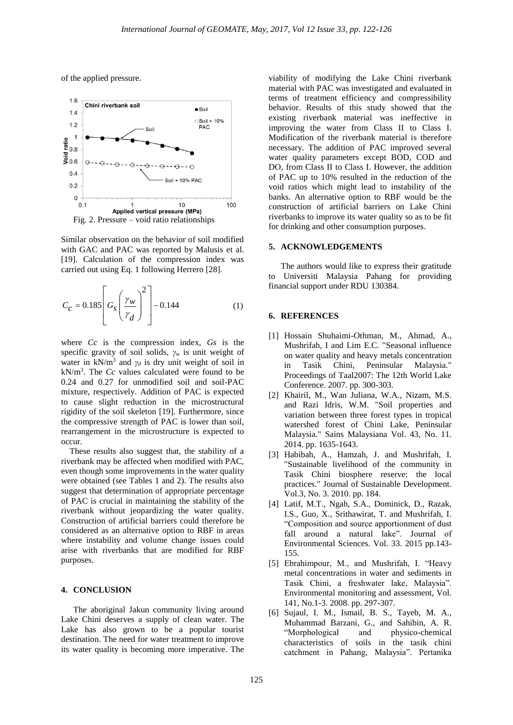of the applied pressure.



Similar observation on the behavior of soil modified with GAC and PAC was reported by Malusis et al. [19]. Calculation of the compression index was carried out using Eq. 1 following Herrero [28].

$$
C_C = 0.185 \left[ G_s \left( \frac{\gamma_w}{\gamma_d} \right)^2 \right] - 0.144 \tag{1}
$$

where *Cc* is the compression index, *Gs* is the specific gravity of soil solids, *γ<sup>w</sup>* is unit weight of water in  $kN/m^3$  and  $\gamma_d$  is dry unit weight of soil in  $kN/m<sup>3</sup>$ . The *Cc* values calculated were found to be 0.24 and 0.27 for unmodified soil and soil-PAC mixture, respectively. Addition of PAC is expected to cause slight reduction in the microstructural rigidity of the soil skeleton [19]. Furthermore, since the compressive strength of PAC is lower than soil, rearrangement in the microstructure is expected to occur.

 These results also suggest that, the stability of a riverbank may be affected when modified with PAC, even though some improvements in the water quality were obtained (see Tables 1 and 2). The results also suggest that determination of appropriate percentage of PAC is crucial in maintaining the stability of the riverbank without jeopardizing the water quality. Construction of artificial barriers could therefore be considered as an alternative option to RBF in areas where instability and volume change issues could arise with riverbanks that are modified for RBF purposes.

## **4. CONCLUSION**

The aboriginal Jakun community living around Lake Chini deserves a supply of clean water. The Lake has also grown to be a popular tourist destination. The need for water treatment to improve its water quality is becoming more imperative. The

viability of modifying the Lake Chini riverbank material with PAC was investigated and evaluated in terms of treatment efficiency and compressibility behavior. Results of this study showed that the existing riverbank material was ineffective in improving the water from Class II to Class I. Modification of the riverbank material is therefore necessary. The addition of PAC improved several water quality parameters except BOD, COD and DO, from Class II to Class I. However, the addition of PAC up to 10% resulted in the reduction of the void ratios which might lead to instability of the banks. An alternative option to RBF would be the construction of artificial barriers on Lake Chini riverbanks to improve its water quality so as to be fit for drinking and other consumption purposes.

### **5. ACKNOWLEDGEMENTS**

The authors would like to express their gratitude to Universiti Malaysia Pahang for providing financial support under RDU 130384.

#### **6. REFERENCES**

- [1] Hossain Shuhaimi-Othman, M., Ahmad, A., Mushrifah, I and Lim E.C. "Seasonal influence on water quality and heavy metals concentration in Tasik Chini, Peninsular Malaysia." Proceedings of Taal2007: The 12th World Lake Conference. 2007. pp. 300-303.
- [2] Khairil, M., Wan Juliana, W.A., Nizam, M.S. and Razi Idris, W.M. "Soil properties and variation between three forest types in tropical watershed forest of Chini Lake, Peninsular Malaysia." Sains Malaysiana Vol. 43, No. 11. 2014. pp. 1635-1643.
- [3] Habibah, A., Hamzah, J. and Mushrifah, I. "Sustainable livelihood of the community in Tasik Chini biosphere reserve: the local practices." Journal of Sustainable Development. Vol.3, No. 3. 2010. pp. 184.
- [4] Latif, M.T., Ngah, S.A., Dominick, D., Razak, I.S., Guo, X., Srithawirat, T. and Mushrifah, I. "Composition and source apportionment of dust fall around a natural lake". Journal of Environmental Sciences. Vol. 33. 2015 pp.143- 155.
- [5] Ebrahimpour, M., and Mushrifah, I. "Heavy metal concentrations in water and sediments in Tasik Chini, a freshwater lake, Malaysia". Environmental monitoring and assessment, Vol. 141, No.1-3. 2008. pp. 297-307.
- [6] Sujaul, I. M., Ismail, B. S., Tayeb, M. A., Muhammad Barzani, G., and Sahibin, A. R. "Morphological and physico-chemical characteristics of soils in the tasik chini catchment in Pahang, Malaysia". Pertanika